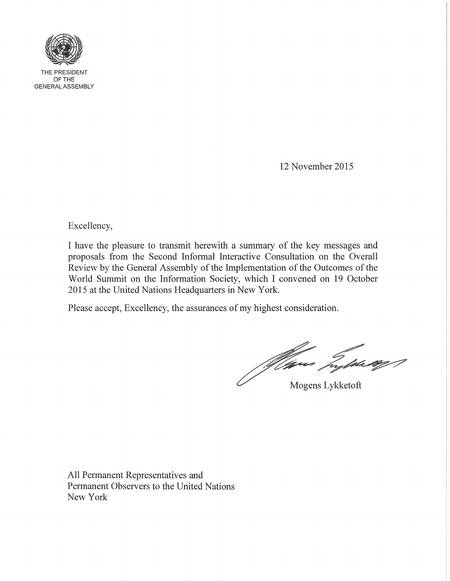

THE PRESIDENT OFTHE GENERAL ASSEMBLY

12 November 2015

Excellency,

I have the pleasure to transmit herewith a summary of the key messages and proposals from the Second Informal Interactive Consultation on the Overall Review by the General Assembly of the Implementation of the Outcomes of the World Summit on the Information Society, which I convened on 19 October 2015 at the United Nations Headquarters in New York.

Please accept, Excellency, the assurances of my highest consideration.

Winn Type ag P

Mogens Lykketoft

All Permanent Representatives and Permanent Observers to the United Nations New York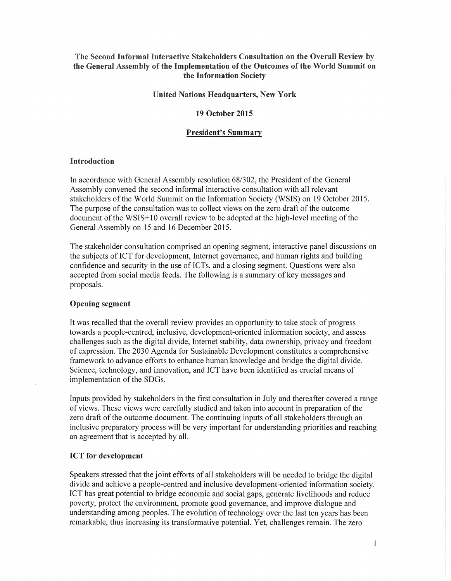# The Second Informal Interactive Stakeholders Consultation on the Overall Review by the General Assembly of the Implementation of the Outcomes of the World Summit on the Information Society

## United Nations Headquarters, New York

## 19 October 2015

### President's Summary

## Introduction

In accordance with General Assembly resolution *68/302,* the President of the General Assembly convened the second informal interactive consultation with all relevant stakeholders of the World Summit on the Information Society (WSIS) on 19 October 2015. The purpose of the consultation was to collect views on the zero draft of the outcome document of the WSIS+10 overall review to be adopted at the high-level meeting of the General Assembly on 15 and 16 December 2015.

The stakeholder consultation comprised an opening segment, interactive panel discussions on the subjects ofICT for development, Internet governance, and human rights and building confidence and security in the use of ICTs, and a closing segment. Questions were also accepted from social media feeds. The following is a summary of key messages and proposals.

### Opening segment

It was recalled that the overall review provides an opportunity to take stock of progress towards a people-centred, inclusive, development-oriented information society, and assess challenges such as the digital divide, Internet stability, data ownership, privacy and freedom of expression. The 2030 Agenda for Sustainable Development constitutes a comprehensive framework to advance efforts to enhance human knowledge and bridge the digital divide. Science, technology, and innovation, and ICT have been identified as crucial means of implementation of the SDGs.

Inputs provided by stakeholders in the first consultation in July and thereafter covered a range of views. These views were carefully studied and taken into account in preparation of the zero draft of the outcome document. The continuing inputs of all stakeholders through an inclusive preparatory process will be very important for understanding priorities and reaching an agreement that is accepted by all.

# ICT for development

Speakers stressed that the joint efforts of all stakeholders will be needed to bridge the digital divide and achieve a people-centred and inclusive development-oriented information society. ICT has great potential to bridge economic and social gaps, generate livelihoods and reduce poverty, protect the environment, promote good governance, and improve dialogue and understanding among peoples. The evolution of technology over the last ten years has been remarkable, thus increasing its transformative potential. Yet, challenges remain. The zero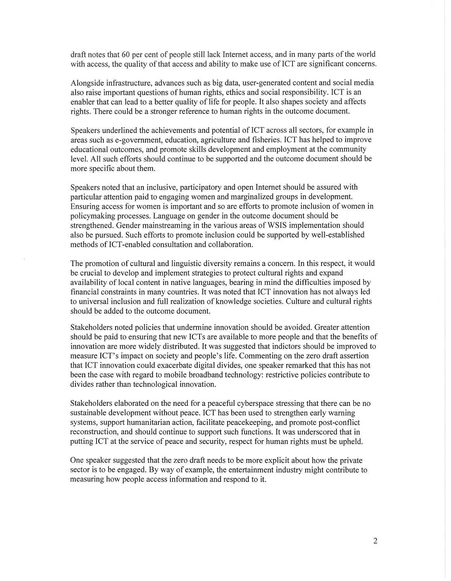draft notes that 60 per cent of people still lack Internet access, and in many parts of the world with access, the quality of that access and ability to make use of ICT are significant concerns.

Alongside infrastructure, advances such as big data, user-generated content and social media also raise important questions of human rights, ethics and social responsibility. ICT is an enabler that can lead to a better quality of life for people. It also shapes society and affects rights. There could be a stronger reference to human rights in the outcome document.

Speakers underlined the achievements and potential of ICT across all sectors, for example in areas such as e-govemment, education, agriculture and fisheries. ICT has helped to improve educational outcomes, and promote skills development and employment at the community level. All such efforts should continue to be supported and the outcome document should be more specific about them.

Speakers noted that an inclusive, participatory and open Internet should be assured with particular attention paid to engaging women and marginalized groups in development. Ensuring access for women is important and so are efforts to promote inclusion of women in policymaking processes. Language on gender in the outcome document should be strengthened. Gender mainstreaming in the various areas of WSIS implementation should also be pursued. Such efforts to promote inclusion could be supported by well-established methods of ICT-enabled consultation and collaboration.

The promotion of cultural and linguistic diversity remains a concern. In this respect, it would be crucial to develop and implement strategies to protect cultural rights and expand availability of local content in native languages, bearing in mind the difficulties imposed by financial constraints in many countries. It was noted that ICT innovation has not always led to universal inclusion and full realization of knowledge societies. Culture and cultural rights should be added to the outcome document.

Stakeholders noted policies that undermine innovation should be avoided. Greater attention should be paid to ensuring that new ICTs are available to more people and that the benefits of innovation are more widely distributed. It was suggested that indictors should be improved to measure ICT's impact on society and people's life. Commenting on the zero draft assertion that ICT innovation could exacerbate digital divides, one speaker remarked that this has not been the case with regard to mobile broadband technology: restrictive policies contribute to divides rather than technological innovation.

Stakeholders elaborated on the need for a peaceful cyberspace stressing that there can be no sustainable development without peace. ICT has been used to strengthen early warning systems, support humanitarian action, facilitate peacekeeping, and promote post-conflict reconstruction, and should continue to support such functions. It was underscored that in putting ICT at the service of peace and security, respect for human rights must be upheld.

One speaker suggested that the zero draft needs to be more explicit about how the private sector is to be engaged. By way of example, the entertainment industry might contribute to measuring how people access information and respond to it.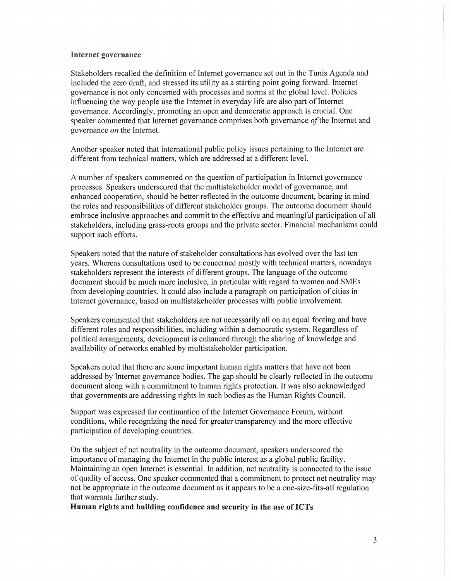# Internet governance

Stakeholders recalled the definition of Internet governance set out in the Tunis Agenda and included the zero draft, and stressed its utility as a starting point going forward. Internet governance is not only concerned with processes and norms at the global level. Policies influencing the way people use the Internet in everyday life are also part of Internet governance. Accordingly, promoting an open and democratic approach is crucial. One speaker commented that Internet governance comprises both governance *afthe* Internet and governance *an* the Internet.

Another speaker noted that international public policy issues pertaining to the Internet are different from technical matters, which are addressed at a different level.

A number of speakers commented on the question of participation in Internet governance processes. Speakers underscored that the multistakeholder model of governance, and enhanced cooperation, should be better reflected in the outcome document, bearing in mind the roles and responsibilities of different stakeholder groups. The outcome document should embrace inclusive approaches and commit to the effective and meaningful participation of all stakeholders, including grass-roots groups and the private sector. Financial mechanisms could support such efforts.

Speakers noted that the nature of stakeholder consultations has evolved over the last ten years. Whereas consultations used to be concerned mostly with technical matters, nowadays stakeholders represent the interests of different groups. The language of the outcome document should be much more inclusive, in particular with regard to women and SMEs from developing countries. It could also include a paragraph on participation of cities in Internet governance, based on multistakeholder processes with public involvement.

Speakers commented that stakeholders are not necessarily all on an equal footing and have different roles and responsibilities, including within a democratic system. Regardless of political arrangements, development is enhanced through the sharing of knowledge and availability of networks enabled by multistakeholder participation.

Speakers noted that there are some important human rights matters that have not been addressed by Internet governance bodies. The gap should be clearly reflected in the outcome document along with a commitment to human rights protection. It was also acknowledged that governments are addressing rights in such bodies as the Human Rights Council.

Support was expressed for continuation of the Internet Governance Forum, without conditions, while recognizing the need for greater transparency and the more effective participation of developing countries.

On the subject of net neutrality in the outcome document, speakers underscored the importance of managing the Internet in the public interest as a global public facility. Maintaining an open Internet is essential. In addition, net neutrality is connected to the issue of quality of access. One speaker commented that a commitment to protect net neutrality may not be appropriate in the outcome document as it appears to be a one-size-fits-all regulation that warrants further study.

Human rights and building confidence and security in the use of ICTs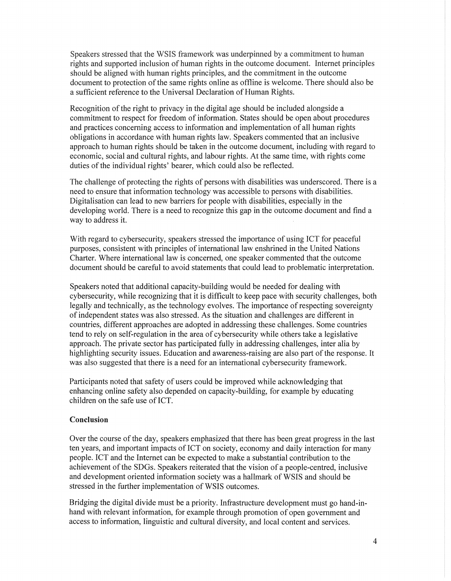Speakers stressed that the WSIS framework was underpinned by a commitment to human rights and supported inclusion of human rights in the outcome document. Internet principles should be aligned with human rights principles, and the commitment in the outcome document to protection of the same rights online as offline is welcome. There should also be a sufficient reference to the Universal Declaration of Human Rights.

Recognition of the right to privacy in the digital age should be included alongside a commitment to respect for freedom of information. States should be open about procedures and practices concerning access to information and implementation of all human rights obligations in accordance with human rights law. Speakers commented that an inclusive approach to human rights should be taken in the outcome document, including with regard to economic, social and cultural rights, and labour rights. At the same time, with rights come duties of the individual rights' bearer, which could also be reflected.

The challenge of protecting the rights of persons with disabilities was underscored. There is a need to ensure that information technology was accessible to persons with disabilities. Digitalisation can lead to new barriers for people with disabilities, especially in the developing world. There is a need to recognize this gap in the outcome document and find a way to address it.

With regard to cybersecurity, speakers stressed the importance of using ICT for peaceful purposes, consistent with principles of international law enshrined in the United Nations Charter. Where international law is concerned, one speaker commented that the outcome document should be careful to avoid statements that could lead to problematic interpretation.

Speakers noted that additional capacity-building would be needed for dealing with cybersecurity, while recognizing that it is difficult to keep pace with security challenges, both legally and technically, as the technology evolves. The importance of respecting sovereignty of independent states was also stressed. As the situation and challenges are different in countries, different approaches are adopted in addressing these challenges. Some countries tend to rely on self-regulation in the area of cybersecurity while others take a legislative approach. The private sector has participated fully in addressing challenges, inter alia by highlighting security issues. Education and awareness-raising are also part of the response. It was also suggested that there is a need for an international cybersecurity framework.

Participants noted that safety of users could be improved while acknowledging that enhancing online safety also depended on capacity-building, for example by educating children on the safe use of ICT.

# Conclusion

Over the course of the day, speakers emphasized that there has been great progress in the last ten years, and important impacts of ICT on society, economy and daily interaction for many people. ICT and the Internet can be expected to make a substantial contribution to the achievement of the SDGs. Speakers reiterated that the vision of a people-centred, inclusive and development oriented information society was a hallmark of WSIS and should be stressed in the further implementation of WSIS outcomes.

Bridging the digital divide must be a priority. Infrastructure development must go hand-inhand with relevant information, for example through promotion of open government and access to information, linguistic and cultural diversity, and local content and services.